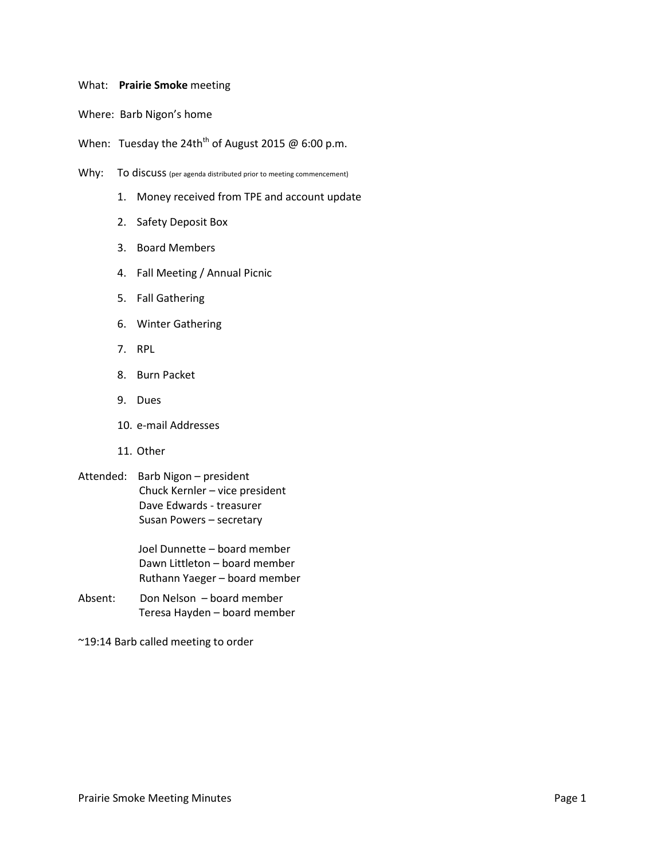## What: **Prairie Smoke** meeting

Where: Barb Nigon's home

When: Tuesday the 24th<sup>th</sup> of August 2015 @ 6:00 p.m.

- Why: To discuss (per agenda distributed prior to meeting commencement)
	- 1. Money received from TPE and account update
	- 2. Safety Deposit Box
	- 3. Board Members
	- 4. Fall Meeting / Annual Picnic
	- 5. Fall Gathering
	- 6. Winter Gathering
	- 7. RPL
	- 8. Burn Packet
	- 9. Dues
	- 10. e-mail Addresses
	- 11. Other
- Attended: Barb Nigon president Chuck Kernler – vice president Dave Edwards - treasurer Susan Powers – secretary

Joel Dunnette – board member Dawn Littleton – board member Ruthann Yaeger – board member

- Absent: Don Nelson board member Teresa Hayden – board member
- ~19:14 Barb called meeting to order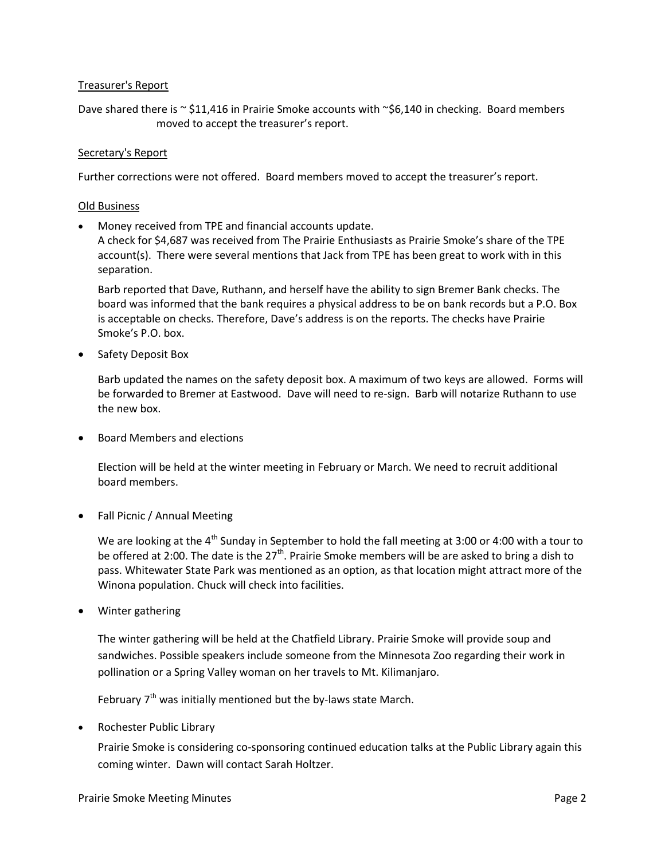## Treasurer's Report

Dave shared there is  $\sim$  \$11,416 in Prairie Smoke accounts with  $\sim$ \$6,140 in checking. Board members moved to accept the treasurer's report.

## Secretary's Report

Further corrections were not offered. Board members moved to accept the treasurer's report.

## Old Business

Money received from TPE and financial accounts update.

A check for \$4,687 was received from The Prairie Enthusiasts as Prairie Smoke's share of the TPE account(s). There were several mentions that Jack from TPE has been great to work with in this separation.

Barb reported that Dave, Ruthann, and herself have the ability to sign Bremer Bank checks. The board was informed that the bank requires a physical address to be on bank records but a P.O. Box is acceptable on checks. Therefore, Dave's address is on the reports. The checks have Prairie Smoke's P.O. box.

• Safety Deposit Box

Barb updated the names on the safety deposit box. A maximum of two keys are allowed. Forms will be forwarded to Bremer at Eastwood. Dave will need to re-sign. Barb will notarize Ruthann to use the new box.

Board Members and elections

Election will be held at the winter meeting in February or March. We need to recruit additional board members.

• Fall Picnic / Annual Meeting

We are looking at the 4<sup>th</sup> Sunday in September to hold the fall meeting at 3:00 or 4:00 with a tour to be offered at 2:00. The date is the 27<sup>th</sup>. Prairie Smoke members will be are asked to bring a dish to pass. Whitewater State Park was mentioned as an option, as that location might attract more of the Winona population. Chuck will check into facilities.

Winter gathering

The winter gathering will be held at the Chatfield Library. Prairie Smoke will provide soup and sandwiches. Possible speakers include someone from the Minnesota Zoo regarding their work in pollination or a Spring Valley woman on her travels to Mt. Kilimanjaro.

February  $7<sup>th</sup>$  was initially mentioned but the by-laws state March.

• Rochester Public Library

Prairie Smoke is considering co-sponsoring continued education talks at the Public Library again this coming winter. Dawn will contact Sarah Holtzer.